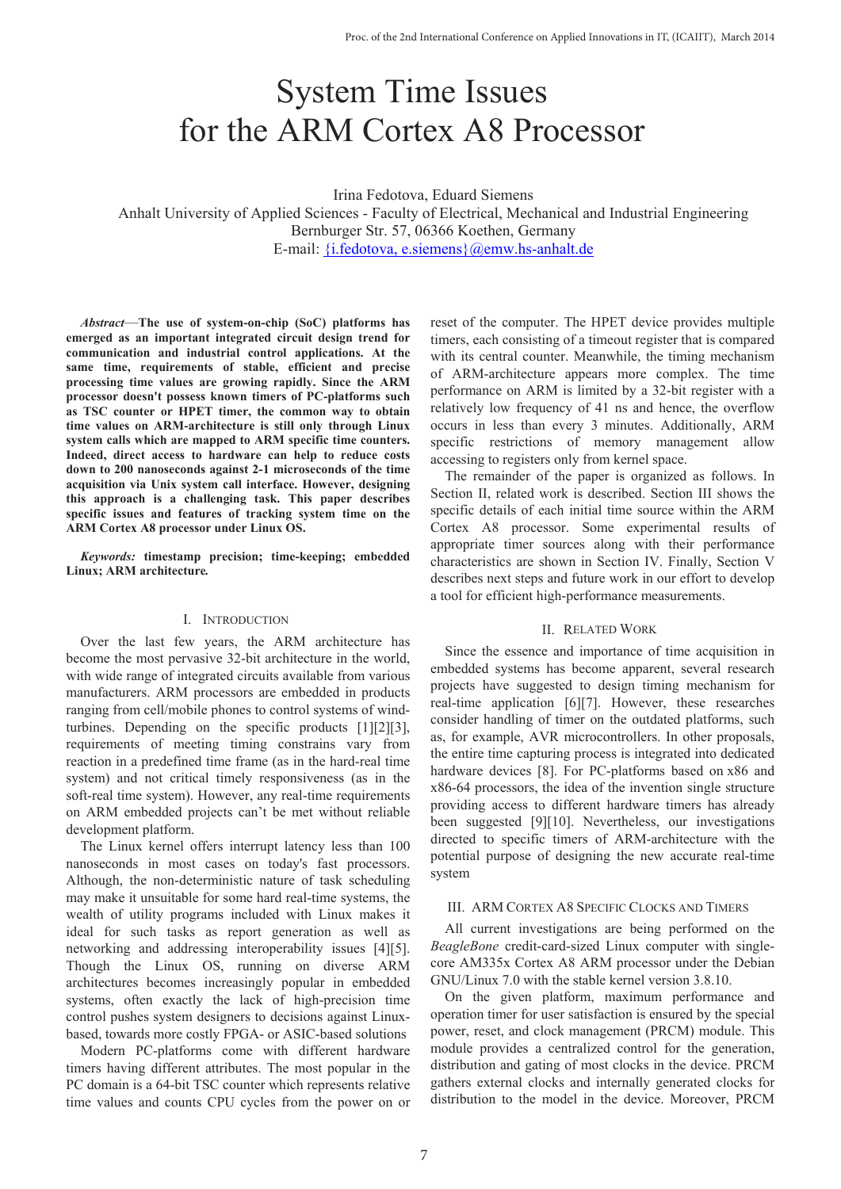# System Time Issues for the ARM Cortex A8 Processor

Irina Fedotova, Eduard Siemens Anhalt University of Applied Sciences - Faculty of Electrical, Mechanical and Industrial Engineering Bernburger Str. 57, 06366 Koethen, Germany E-mail: {i.fedotova, e.siemens}@emw.hs-anhalt.de

*Abstract*—**The use of system-on-chip (SoC) platforms has emerged as an important integrated circuit design trend for communication and industrial control applications. At the same time, requirements of stable, efficient and precise processing time values are growing rapidly. Since the ARM processor doesn't possess known timers of PC-platforms such as TSC counter or HPET timer, the common way to obtain time values on ARM-architecture is still only through Linux system calls which are mapped to ARM specific time counters. Indeed, direct access to hardware can help to reduce costs down to 200 nanoseconds against 2-1 microseconds of the time acquisition via Unix system call interface. However, designing this approach is a challenging task. This paper describes specific issues and features of tracking system time on the ARM Cortex A8 processor under Linux OS.**

*Keywords:* **timestamp precision; time-keeping; embedded Linux; ARM architecture***.*

#### I. INTRODUCTION

Over the last few years, the ARM architecture has become the most pervasive 32-bit architecture in the world, with wide range of integrated circuits available from various manufacturers. ARM processors are embedded in products ranging from cell/mobile phones to control systems of windturbines. Depending on the specific products [1][2][3], requirements of meeting timing constrains vary from reaction in a predefined time frame (as in the hard-real time system) and not critical timely responsiveness (as in the soft-real time system). However, any real-time requirements on ARM embedded projects can't be met without reliable development platform.

The Linux kernel offers interrupt latency less than 100 nanoseconds in most cases on today's fast processors. Although, the non-deterministic nature of task scheduling may make it unsuitable for some hard real-time systems, the wealth of utility programs included with Linux makes it ideal for such tasks as report generation as well as networking and addressing interoperability issues [4][5]. Though the Linux OS, running on diverse ARM architectures becomes increasingly popular in embedded systems, often exactly the lack of high-precision time control pushes system designers to decisions against Linuxbased, towards more costly FPGA- or ASIC-based solutions

Modern PC-platforms come with different hardware timers having different attributes. The most popular in the PC domain is a 64-bit TSC counter which represents relative time values and counts CPU cycles from the power on or reset of the computer. The HPET device provides multiple timers, each consisting of a timeout register that is compared with its central counter. Meanwhile, the timing mechanism of ARM-architecture appears more complex. The time performance on ARM is limited by a 32-bit register with a relatively low frequency of 41 ns and hence, the overflow occurs in less than every 3 minutes. Additionally, ARM specific restrictions of memory management allow accessing to registers only from kernel space.

The remainder of the paper is organized as follows. In Section II, related work is described. Section III shows the specific details of each initial time source within the ARM Cortex A8 processor. Some experimental results of appropriate timer sources along with their performance characteristics are shown in Section IV. Finally, Section V describes next steps and future work in our effort to develop a tool for efficient high-performance measurements.

### II. RELATED WORK

Since the essence and importance of time acquisition in embedded systems has become apparent, several research projects have suggested to design timing mechanism for real-time application [6][7]. However, these researches consider handling of timer on the outdated platforms, such as, for example, AVR microcontrollers. In other proposals, the entire time capturing process is integrated into dedicated hardware devices [8]. For PC-platforms based on x86 and x86-64 processors, the idea of the invention single structure providing access to different hardware timers has already been suggested [9][10]. Nevertheless, our investigations directed to specific timers of ARM-architecture with the potential purpose of designing the new accurate real-time system

## III. ARM CORTEX A8 SPECIFIC CLOCKS AND TIMERS

All current investigations are being performed on the *BeagleBone* credit-card-sized Linux computer with singlecore AM335x Cortex A8 ARM processor under the Debian GNU/Linux 7.0 with the stable kernel version 3.8.10.

On the given platform, maximum performance and operation timer for user satisfaction is ensured by the special power, reset, and clock management (PRCM) module. This module provides a centralized control for the generation, distribution and gating of most clocks in the device. PRCM gathers external clocks and internally generated clocks for distribution to the model in the device. Moreover, PRCM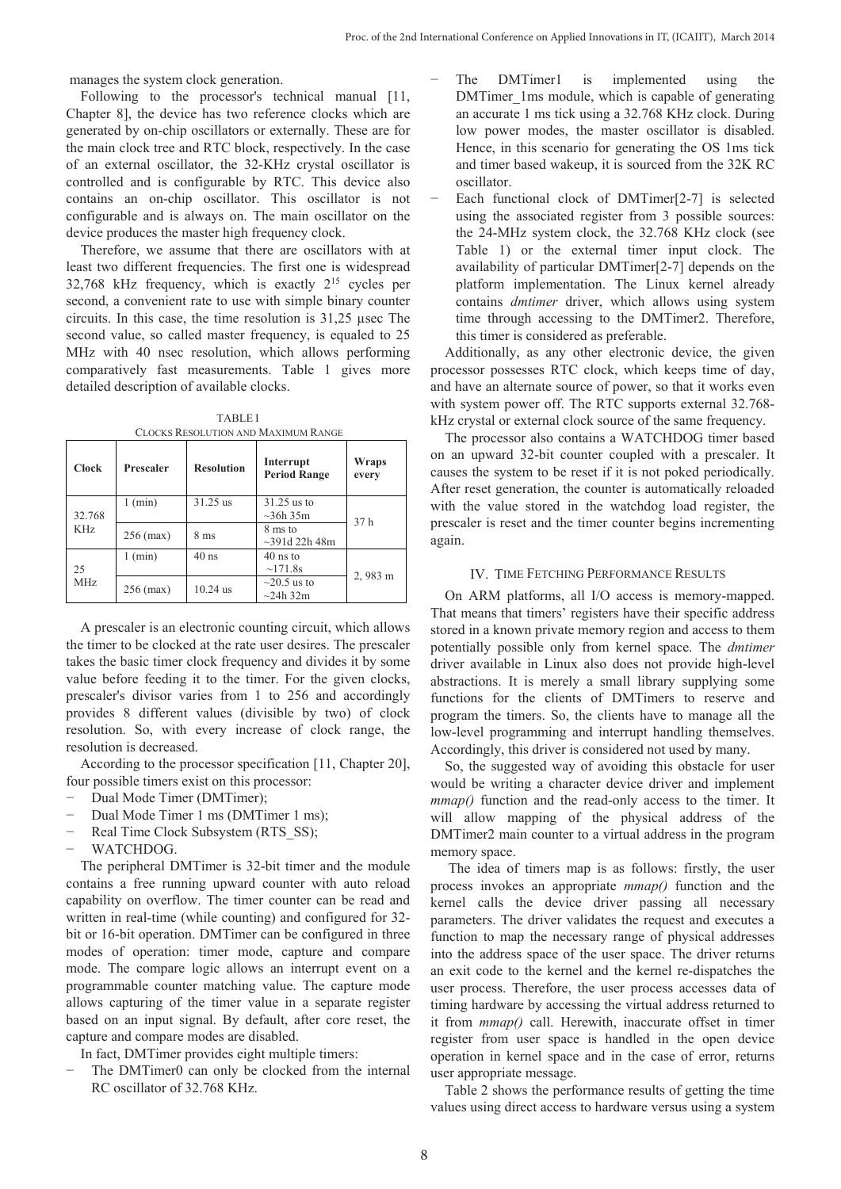manages the system clock generation.

Following to the processor's technical manual [11, Chapter 8], the device has two reference clocks which are generated by on-chip oscillators or externally. These are for the main clock tree and RTC block, respectively. In the case of an external oscillator, the 32-KHz crystal oscillator is controlled and is configurable by RTC. This device also contains an on-chip oscillator. This oscillator is not configurable and is always on. The main oscillator on the device produces the master high frequency clock.

Therefore, we assume that there are oscillators with at least two different frequencies. The first one is widespread 32,768 kHz frequency, which is exactly 215 cycles per second, a convenient rate to use with simple binary counter circuits. In this case, the time resolution is 31,25 µsec The second value, so called master frequency, is equaled to 25 MHz with 40 nsec resolution, which allows performing comparatively fast measurements. Table 1 gives more detailed description of available clocks.

TABLE I CLOCKS RESOLUTION AND MAXIMUM RANGE

| <b>Clock</b>   | Prescaler   | <b>Resolution</b> | Interrupt<br><b>Period Range</b>    | Wraps<br>every |
|----------------|-------------|-------------------|-------------------------------------|----------------|
| 32.768<br>KHz. | 1 (min)     | 31.25 us          | $31.25$ us to<br>$\sim$ 36h 35m     | 37 h           |
|                | $256$ (max) | 8 <sub>ms</sub>   | 8 ms to<br>$\sim$ 391d 22h 48m      |                |
| 25<br>MHz      | 1 (min)     | $40$ ns           | $40$ ns to<br>~171.8s               | 2,983 m        |
|                | $256$ (max) | $10.24$ us        | $\sim$ 20.5 us to<br>$\sim$ 24h 32m |                |

A prescaler is an electronic counting circuit, which allows the timer to be clocked at the rate user desires. The prescaler takes the basic timer clock frequency and divides it by some value before feeding it to the timer. For the given clocks, prescaler's divisor varies from 1 to 256 and accordingly provides 8 different values (divisible by two) of clock resolution. So, with every increase of clock range, the resolution is decreased.

According to the processor specification [11, Chapter 20], four possible timers exist on this processor:

- Dual Mode Timer (DMTimer);
- − Dual Mode Timer 1 ms (DMTimer 1 ms);
- Real Time Clock Subsystem (RTS\_SS);
- − WATCHDOG.

The peripheral DMTimer is 32-bit timer and the module contains a free running upward counter with auto reload capability on overflow. The timer counter can be read and written in real-time (while counting) and configured for 32 bit or 16-bit operation. DMTimer can be configured in three modes of operation: timer mode, capture and compare mode. The compare logic allows an interrupt event on a programmable counter matching value. The capture mode allows capturing of the timer value in a separate register based on an input signal. By default, after core reset, the capture and compare modes are disabled.

In fact, DMTimer provides eight multiple timers:

The DMTimer0 can only be clocked from the internal RC oscillator of 32.768 KHz.

- The DMTimer1 is implemented using the DMTimer\_1ms module, which is capable of generating an accurate 1 ms tick using a 32.768 KHz clock. During low power modes, the master oscillator is disabled. Hence, in this scenario for generating the OS 1ms tick and timer based wakeup, it is sourced from the 32K RC oscillator.
- Each functional clock of DMTimer[2-7] is selected using the associated register from 3 possible sources: the 24-MHz system clock, the 32.768 KHz clock (see Table 1) or the external timer input clock. The availability of particular DMTimer[2-7] depends on the platform implementation. The Linux kernel already contains *dmtimer* driver, which allows using system time through accessing to the DMTimer2. Therefore, this timer is considered as preferable.

Additionally, as any other electronic device, the given processor possesses RTC clock, which keeps time of day, and have an alternate source of power, so that it works even with system power off. The RTC supports external 32.768 kHz crystal or external clock source of the same frequency.

The processor also contains a WATCHDOG timer based on an upward 32-bit counter coupled with a prescaler. It causes the system to be reset if it is not poked periodically. After reset generation, the counter is automatically reloaded with the value stored in the watchdog load register, the prescaler is reset and the timer counter begins incrementing again.

### IV. TIME FETCHING PERFORMANCE RESULTS

On ARM platforms, all I/O access is memory-mapped. That means that timers' registers have their specific address stored in a known private memory region and access to them potentially possible only from kernel space. The *dmtimer* driver available in Linux also does not provide high-level abstractions. It is merely a small library supplying some functions for the clients of DMTimers to reserve and program the timers. So, the clients have to manage all the low-level programming and interrupt handling themselves. Accordingly, this driver is considered not used by many.

So, the suggested way of avoiding this obstacle for user would be writing a character device driver and implement *mmap()* function and the read-only access to the timer. It will allow mapping of the physical address of the DMTimer2 main counter to a virtual address in the program memory space.

The idea of timers map is as follows: firstly, the user process invokes an appropriate *mmap()* function and the kernel calls the device driver passing all necessary parameters. The driver validates the request and executes a function to map the necessary range of physical addresses into the address space of the user space. The driver returns an exit code to the kernel and the kernel re-dispatches the user process. Therefore, the user process accesses data of timing hardware by accessing the virtual address returned to it from *mmap()* call. Herewith, inaccurate offset in timer register from user space is handled in the open device operation in kernel space and in the case of error, returns user appropriate message.

Table 2 shows the performance results of getting the time values using direct access to hardware versus using a system